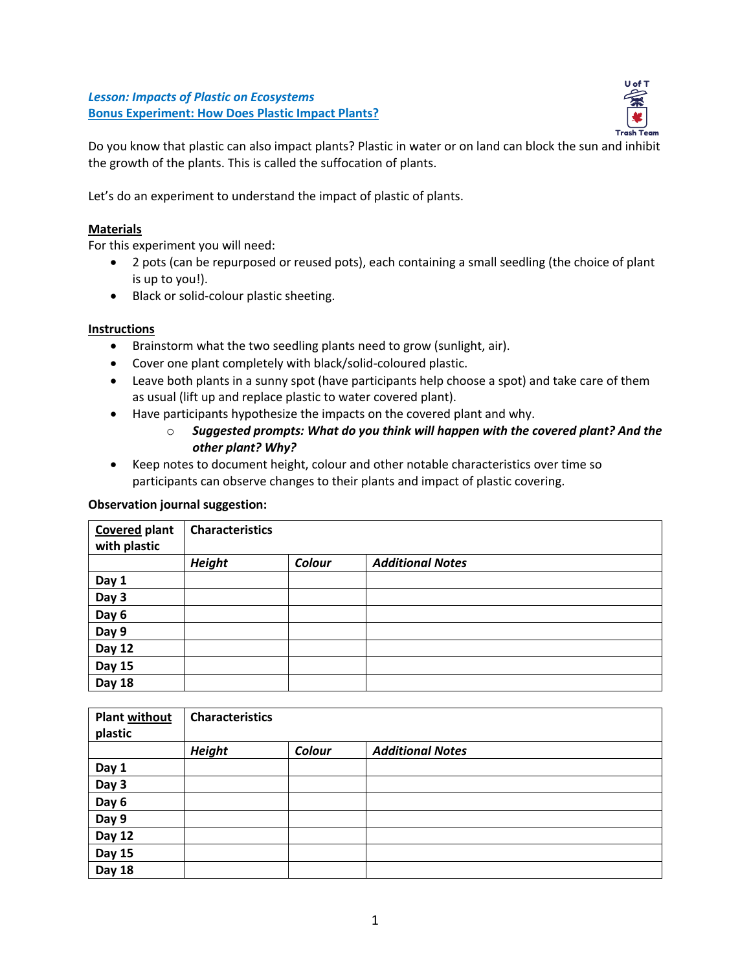*Lesson: Impacts of Plastic on Ecosystems* **Bonus Experiment: How Does Plastic Impact Plants?**



Do you know that plastic can also impact plants? Plastic in water or on land can block the sun and inhibit the growth of the plants. This is called the suffocation of plants.

Let's do an experiment to understand the impact of plastic of plants.

## **Materials**

For this experiment you will need:

- 2 pots (can be repurposed or reused pots), each containing a small seedling (the choice of plant is up to you!).
- Black or solid-colour plastic sheeting.

## **Instructions**

- Brainstorm what the two seedling plants need to grow (sunlight, air).
- Cover one plant completely with black/solid-coloured plastic.
- Leave both plants in a sunny spot (have participants help choose a spot) and take care of them as usual (lift up and replace plastic to water covered plant).
- Have participants hypothesize the impacts on the covered plant and why.
	- o *Suggested prompts: What do you think will happen with the covered plant? And the other plant? Why?*
- Keep notes to document height, colour and other notable characteristics over time so participants can observe changes to their plants and impact of plastic covering.

## **Observation journal suggestion:**

| <b>Covered plant</b> | <b>Characteristics</b> |        |                         |
|----------------------|------------------------|--------|-------------------------|
| with plastic         |                        |        |                         |
|                      | <b>Height</b>          | Colour | <b>Additional Notes</b> |
| Day 1                |                        |        |                         |
| Day 3                |                        |        |                         |
| Day 6                |                        |        |                         |
| Day 9                |                        |        |                         |
| Day 12               |                        |        |                         |
| <b>Day 15</b>        |                        |        |                         |
| <b>Day 18</b>        |                        |        |                         |

| <b>Plant without</b><br>plastic | <b>Characteristics</b> |        |                         |
|---------------------------------|------------------------|--------|-------------------------|
|                                 | <b>Height</b>          | Colour | <b>Additional Notes</b> |
| Day 1                           |                        |        |                         |
| Day 3                           |                        |        |                         |
| Day 6                           |                        |        |                         |
| Day 9                           |                        |        |                         |
| Day 12                          |                        |        |                         |
| <b>Day 15</b>                   |                        |        |                         |
| <b>Day 18</b>                   |                        |        |                         |